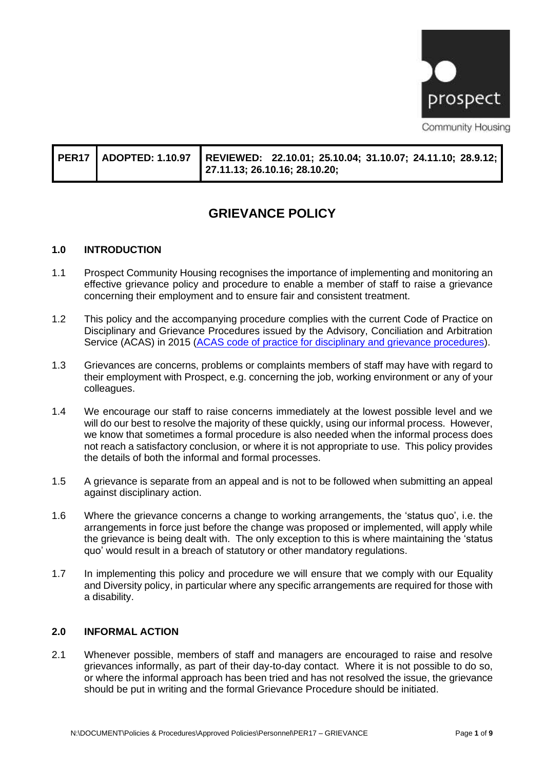

|  | PER17   ADOPTED: 1.10.97    REVIEWED:   22.10.01; 25.10.04; 31.10.07; 24.11.10; 28.9.12;  <br>27.11.13; 26.10.16; 28.10.20; |
|--|-----------------------------------------------------------------------------------------------------------------------------|
|  |                                                                                                                             |

# **GRIEVANCE POLICY**

#### **1.0 INTRODUCTION**

- 1.1 Prospect Community Housing recognises the importance of implementing and monitoring an effective grievance policy and procedure to enable a member of staff to raise a grievance concerning their employment and to ensure fair and consistent treatment.
- 1.2 This policy and the accompanying procedure complies with the current Code of Practice on Disciplinary and Grievance Procedures issued by the Advisory, Conciliation and Arbitration Service (ACAS) in 2015 [\(ACAS code of practice for disciplinary and grievance procedures\)](https://www.acas.org.uk/acas-code-of-practice-for-disciplinary-and-grievance-procedures/html#the-code-of-practice).
- 1.3 Grievances are concerns, problems or complaints members of staff may have with regard to their employment with Prospect, e.g. concerning the job, working environment or any of your colleagues.
- 1.4 We encourage our staff to raise concerns immediately at the lowest possible level and we will do our best to resolve the majority of these quickly, using our informal process. However, we know that sometimes a formal procedure is also needed when the informal process does not reach a satisfactory conclusion, or where it is not appropriate to use. This policy provides the details of both the informal and formal processes.
- 1.5 A grievance is separate from an appeal and is not to be followed when submitting an appeal against disciplinary action.
- 1.6 Where the grievance concerns a change to working arrangements, the 'status quo', i.e. the arrangements in force just before the change was proposed or implemented, will apply while the grievance is being dealt with. The only exception to this is where maintaining the 'status quo' would result in a breach of statutory or other mandatory regulations.
- 1.7 In implementing this policy and procedure we will ensure that we comply with our Equality and Diversity policy, in particular where any specific arrangements are required for those with a disability.

#### **2.0 INFORMAL ACTION**

2.1 Whenever possible, members of staff and managers are encouraged to raise and resolve grievances informally, as part of their day-to-day contact. Where it is not possible to do so, or where the informal approach has been tried and has not resolved the issue, the grievance should be put in writing and the formal Grievance Procedure should be initiated.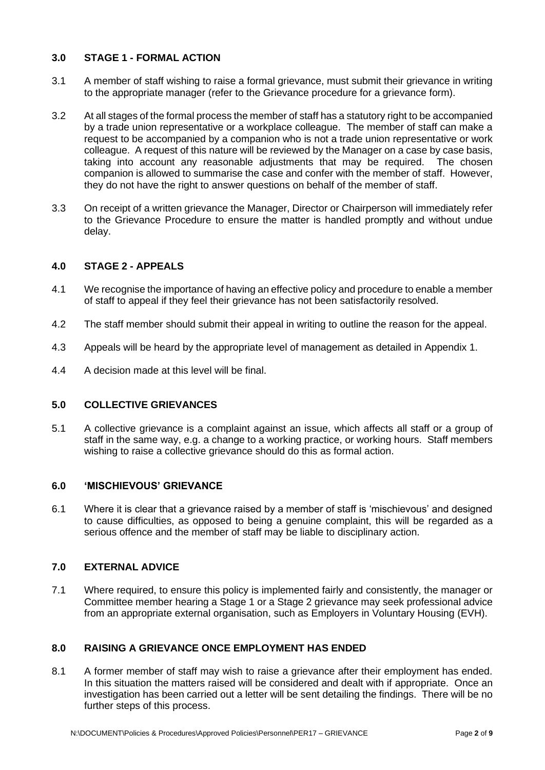## **3.0 STAGE 1 - FORMAL ACTION**

- 3.1 A member of staff wishing to raise a formal grievance, must submit their grievance in writing to the appropriate manager (refer to the Grievance procedure for a grievance form).
- 3.2 At all stages of the formal process the member of staff has a statutory right to be accompanied by a trade union representative or a workplace colleague. The member of staff can make a request to be accompanied by a companion who is not a trade union representative or work colleague. A request of this nature will be reviewed by the Manager on a case by case basis, taking into account any reasonable adjustments that may be required. The chosen companion is allowed to summarise the case and confer with the member of staff. However, they do not have the right to answer questions on behalf of the member of staff.
- 3.3 On receipt of a written grievance the Manager, Director or Chairperson will immediately refer to the Grievance Procedure to ensure the matter is handled promptly and without undue delay.

## **4.0 STAGE 2 - APPEALS**

- 4.1 We recognise the importance of having an effective policy and procedure to enable a member of staff to appeal if they feel their grievance has not been satisfactorily resolved.
- 4.2 The staff member should submit their appeal in writing to outline the reason for the appeal.
- 4.3 Appeals will be heard by the appropriate level of management as detailed in Appendix 1.
- 4.4 A decision made at this level will be final.

#### **5.0 COLLECTIVE GRIEVANCES**

5.1 A collective grievance is a complaint against an issue, which affects all staff or a group of staff in the same way, e.g. a change to a working practice, or working hours. Staff members wishing to raise a collective grievance should do this as formal action.

#### **6.0 'MISCHIEVOUS' GRIEVANCE**

6.1 Where it is clear that a grievance raised by a member of staff is 'mischievous' and designed to cause difficulties, as opposed to being a genuine complaint, this will be regarded as a serious offence and the member of staff may be liable to disciplinary action.

#### **7.0 EXTERNAL ADVICE**

7.1 Where required, to ensure this policy is implemented fairly and consistently, the manager or Committee member hearing a Stage 1 or a Stage 2 grievance may seek professional advice from an appropriate external organisation, such as Employers in Voluntary Housing (EVH).

## **8.0 RAISING A GRIEVANCE ONCE EMPLOYMENT HAS ENDED**

8.1 A former member of staff may wish to raise a grievance after their employment has ended. In this situation the matters raised will be considered and dealt with if appropriate. Once an investigation has been carried out a letter will be sent detailing the findings. There will be no further steps of this process.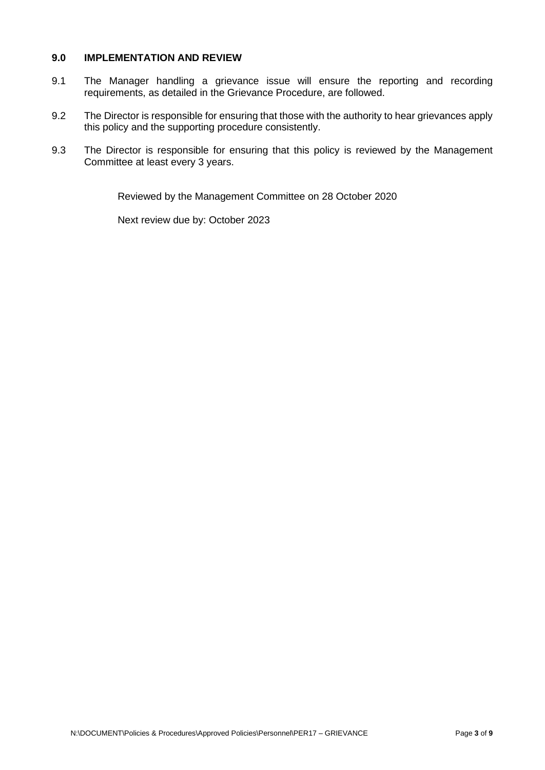#### **9.0 IMPLEMENTATION AND REVIEW**

- 9.1 The Manager handling a grievance issue will ensure the reporting and recording requirements, as detailed in the Grievance Procedure, are followed.
- 9.2 The Director is responsible for ensuring that those with the authority to hear grievances apply this policy and the supporting procedure consistently.
- 9.3 The Director is responsible for ensuring that this policy is reviewed by the Management Committee at least every 3 years.

Reviewed by the Management Committee on 28 October 2020

Next review due by: October 2023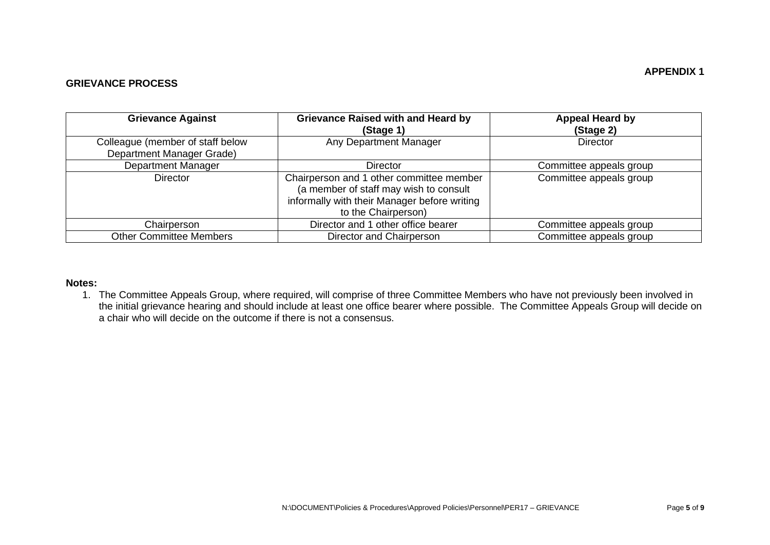#### **GRIEVANCE PROCESS**

| <b>Grievance Against</b>                                      | <b>Grievance Raised with and Heard by</b><br>(Stage 1)                                                                                                    | <b>Appeal Heard by</b><br>(Stage 2) |
|---------------------------------------------------------------|-----------------------------------------------------------------------------------------------------------------------------------------------------------|-------------------------------------|
| Colleague (member of staff below<br>Department Manager Grade) | Any Department Manager                                                                                                                                    | <b>Director</b>                     |
| <b>Department Manager</b>                                     | <b>Director</b>                                                                                                                                           | Committee appeals group             |
| <b>Director</b>                                               | Chairperson and 1 other committee member<br>(a member of staff may wish to consult<br>informally with their Manager before writing<br>to the Chairperson) | Committee appeals group             |
| Chairperson                                                   | Director and 1 other office bearer                                                                                                                        | Committee appeals group             |
| <b>Other Committee Members</b>                                | Director and Chairperson                                                                                                                                  | Committee appeals group             |

#### **Notes:**

1. The Committee Appeals Group, where required, will comprise of three Committee Members who have not previously been involved in the initial grievance hearing and should include at least one office bearer where possible. The Committee Appeals Group will decide on a chair who will decide on the outcome if there is not a consensus.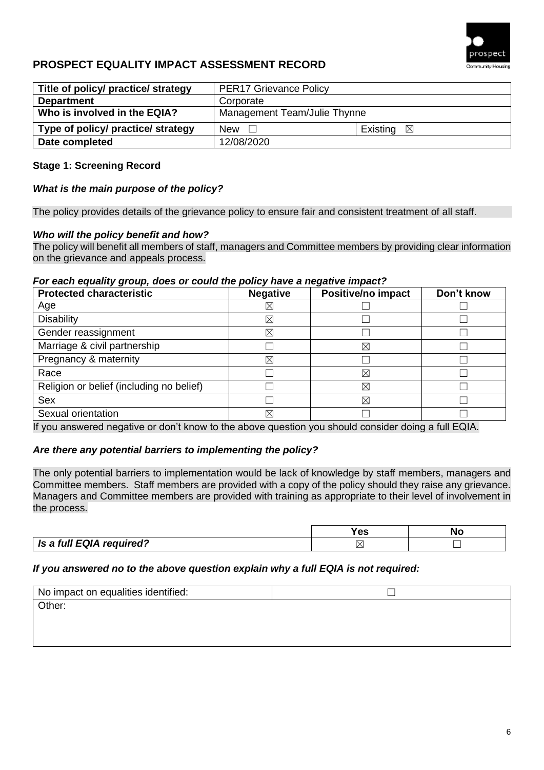

## **PROSPECT EQUALITY IMPACT ASSESSMENT RECORD**

| Title of policy/ practice/ strategy | <b>PER17 Grievance Policy</b> |                         |
|-------------------------------------|-------------------------------|-------------------------|
| <b>Department</b>                   | Corporate                     |                         |
| Who is involved in the EQIA?        | Management Team/Julie Thynne  |                         |
| Type of policy/ practice/ strategy  | New $\square$                 | Existing<br>$\boxtimes$ |
| Date completed                      | 12/08/2020                    |                         |

### **Stage 1: Screening Record**

#### *What is the main purpose of the policy?*

The policy provides details of the grievance policy to ensure fair and consistent treatment of all staff.

#### *Who will the policy benefit and how?*

The policy will benefit all members of staff, managers and Committee members by providing clear information on the grievance and appeals process.

#### *For each equality group, does or could the policy have a negative impact?*

| <b>Protected characteristic</b>          | <b>Negative</b> | - −<br>Positive/no impact | Don't know |
|------------------------------------------|-----------------|---------------------------|------------|
| Age                                      | $\boxtimes$     |                           |            |
| <b>Disability</b>                        | ⊠               |                           |            |
| Gender reassignment                      | ⊠               |                           |            |
| Marriage & civil partnership             |                 | $\boxtimes$               |            |
| Pregnancy & maternity                    | ⊠               |                           |            |
| Race                                     |                 | $\boxtimes$               |            |
| Religion or belief (including no belief) |                 | $\boxtimes$               |            |
| <b>Sex</b>                               |                 | X                         |            |
| Sexual orientation                       | ⊠               |                           |            |

If you answered negative or don't know to the above question you should consider doing a full EQIA.

#### *Are there any potential barriers to implementing the policy?*

The only potential barriers to implementation would be lack of knowledge by staff members, managers and Committee members. Staff members are provided with a copy of the policy should they raise any grievance. Managers and Committee members are provided with training as appropriate to their level of involvement in the process.

|                          | ΩC<br>63 | NΩ |
|--------------------------|----------|----|
| Is a full EQIA required? |          |    |

#### *If you answered no to the above question explain why a full EQIA is not required:*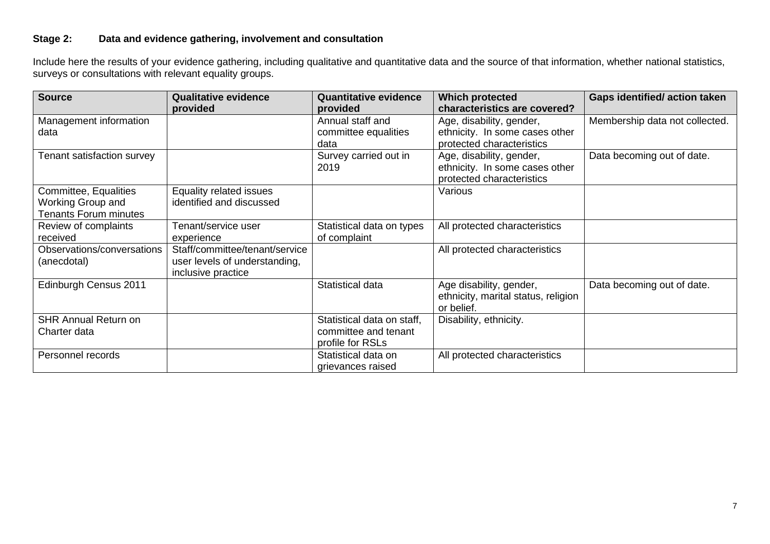## **Stage 2: Data and evidence gathering, involvement and consultation**

Include here the results of your evidence gathering, including qualitative and quantitative data and the source of that information, whether national statistics, surveys or consultations with relevant equality groups.

| <b>Source</b>                                                              | <b>Qualitative evidence</b><br>provided                                               | <b>Quantitative evidence</b><br>provided           | <b>Which protected</b><br>characteristics are covered?                                  | <b>Gaps identified/action taken</b> |
|----------------------------------------------------------------------------|---------------------------------------------------------------------------------------|----------------------------------------------------|-----------------------------------------------------------------------------------------|-------------------------------------|
| Management information<br>data                                             |                                                                                       | Annual staff and<br>committee equalities           | Age, disability, gender,<br>ethnicity. In some cases other                              | Membership data not collected.      |
|                                                                            |                                                                                       | data                                               | protected characteristics                                                               |                                     |
| Tenant satisfaction survey                                                 |                                                                                       | Survey carried out in<br>2019                      | Age, disability, gender,<br>ethnicity. In some cases other<br>protected characteristics | Data becoming out of date.          |
| Committee, Equalities<br>Working Group and<br><b>Tenants Forum minutes</b> | Equality related issues<br>identified and discussed                                   |                                                    | Various                                                                                 |                                     |
| Review of complaints<br>received                                           | Tenant/service user<br>experience                                                     | Statistical data on types<br>of complaint          | All protected characteristics                                                           |                                     |
| Observations/conversations<br>(anecdotal)                                  | Staff/committee/tenant/service<br>user levels of understanding,<br>inclusive practice |                                                    | All protected characteristics                                                           |                                     |
| Edinburgh Census 2011                                                      |                                                                                       | Statistical data                                   | Age disability, gender,<br>ethnicity, marital status, religion<br>or belief.            | Data becoming out of date.          |
| <b>SHR Annual Return on</b><br>Charter data                                |                                                                                       | Statistical data on staff,<br>committee and tenant | Disability, ethnicity.                                                                  |                                     |
|                                                                            |                                                                                       | profile for RSLs                                   |                                                                                         |                                     |
| Personnel records                                                          |                                                                                       | Statistical data on<br>grievances raised           | All protected characteristics                                                           |                                     |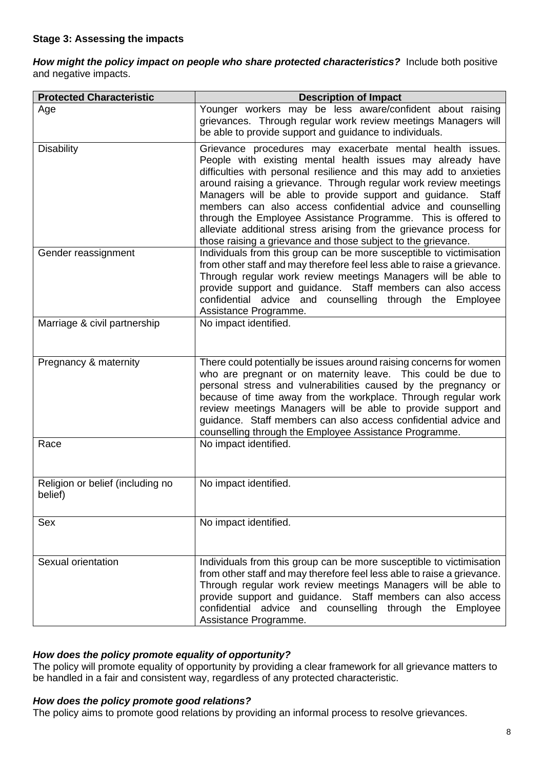How might the policy impact on people who share protected characteristics? Include both positive and negative impacts.

| <b>Protected Characteristic</b>             | <b>Description of Impact</b>                                                                                                                                                                                                                                                                                                                                                                                                                                                                                                                                                                                        |
|---------------------------------------------|---------------------------------------------------------------------------------------------------------------------------------------------------------------------------------------------------------------------------------------------------------------------------------------------------------------------------------------------------------------------------------------------------------------------------------------------------------------------------------------------------------------------------------------------------------------------------------------------------------------------|
| Age                                         | Younger workers may be less aware/confident about raising<br>grievances. Through regular work review meetings Managers will<br>be able to provide support and guidance to individuals.                                                                                                                                                                                                                                                                                                                                                                                                                              |
| <b>Disability</b>                           | Grievance procedures may exacerbate mental health issues.<br>People with existing mental health issues may already have<br>difficulties with personal resilience and this may add to anxieties<br>around raising a grievance. Through regular work review meetings<br>Managers will be able to provide support and guidance.<br><b>Staff</b><br>members can also access confidential advice and counselling<br>through the Employee Assistance Programme. This is offered to<br>alleviate additional stress arising from the grievance process for<br>those raising a grievance and those subject to the grievance. |
| Gender reassignment                         | Individuals from this group can be more susceptible to victimisation<br>from other staff and may therefore feel less able to raise a grievance.<br>Through regular work review meetings Managers will be able to<br>provide support and guidance. Staff members can also access<br>confidential advice and counselling through the Employee<br>Assistance Programme.                                                                                                                                                                                                                                                |
| Marriage & civil partnership                | No impact identified.                                                                                                                                                                                                                                                                                                                                                                                                                                                                                                                                                                                               |
| Pregnancy & maternity                       | There could potentially be issues around raising concerns for women<br>who are pregnant or on maternity leave. This could be due to<br>personal stress and vulnerabilities caused by the pregnancy or<br>because of time away from the workplace. Through regular work<br>review meetings Managers will be able to provide support and<br>guidance. Staff members can also access confidential advice and<br>counselling through the Employee Assistance Programme.                                                                                                                                                 |
| Race                                        | No impact identified.                                                                                                                                                                                                                                                                                                                                                                                                                                                                                                                                                                                               |
| Religion or belief (including no<br>belief) | No impact identified.                                                                                                                                                                                                                                                                                                                                                                                                                                                                                                                                                                                               |
| Sex                                         | No impact identified.                                                                                                                                                                                                                                                                                                                                                                                                                                                                                                                                                                                               |
| Sexual orientation                          | Individuals from this group can be more susceptible to victimisation<br>from other staff and may therefore feel less able to raise a grievance.<br>Through regular work review meetings Managers will be able to<br>provide support and guidance. Staff members can also access<br>confidential advice and counselling through the Employee<br>Assistance Programme.                                                                                                                                                                                                                                                |

## *How does the policy promote equality of opportunity?*

The policy will promote equality of opportunity by providing a clear framework for all grievance matters to be handled in a fair and consistent way, regardless of any protected characteristic.

#### *How does the policy promote good relations?*

The policy aims to promote good relations by providing an informal process to resolve grievances.